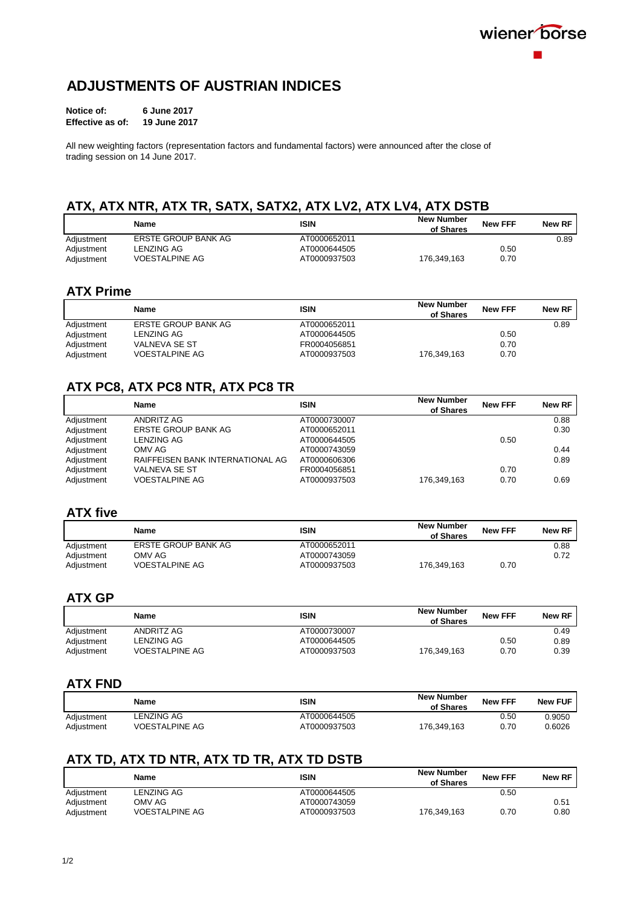# **ADJUSTMENTS OF AUSTRIAN INDICES**

| Notice of:       | 6 June 2017         |  |  |
|------------------|---------------------|--|--|
| Effective as of: | <b>19 June 2017</b> |  |  |

All new weighting factors (representation factors and fundamental factors) were announced after the close of trading session on 14 June 2017.

# **ATX, ATX NTR, ATX TR, SATX, SATX2, ATX LV2, ATX LV4, ATX DSTB**

|            | Name                  | <b>ISIN</b>  | <b>New Number</b><br>of Shares | <b>New FFF</b> | New RF |
|------------|-----------------------|--------------|--------------------------------|----------------|--------|
| Adjustment | ERSTE GROUP BANK AG   | AT0000652011 |                                |                | 0.89   |
| Adjustment | LENZING AG            | AT0000644505 |                                | 0.50           |        |
| Adiustment | <b>VOESTALPINE AG</b> | AT0000937503 | 176.349.163                    | 0.70           |        |

# **ATX Prime**

|            | <b>Name</b>           | <b>ISIN</b>  | <b>New Number</b><br>of Shares | <b>New FFF</b> | New RF |
|------------|-----------------------|--------------|--------------------------------|----------------|--------|
| Adjustment | ERSTE GROUP BANK AG   | AT0000652011 |                                |                | 0.89   |
| Adjustment | LENZING AG            | AT0000644505 |                                | 0.50           |        |
| Adjustment | VALNEVA SE ST         | FR0004056851 |                                | 0.70           |        |
| Adiustment | <b>VOESTALPINE AG</b> | AT0000937503 | 176.349.163                    | 0.70           |        |

# **ATX PC8, ATX PC8 NTR, ATX PC8 TR**

|            | Name                             | <b>ISIN</b>  | <b>New Number</b><br>of Shares | <b>New FFF</b> | New RF |
|------------|----------------------------------|--------------|--------------------------------|----------------|--------|
| Adjustment | ANDRITZ AG                       | AT0000730007 |                                |                | 0.88   |
| Adjustment | ERSTE GROUP BANK AG              | AT0000652011 |                                |                | 0.30   |
| Adjustment | <b>LENZING AG</b>                | AT0000644505 |                                | 0.50           |        |
| Adjustment | OMV AG                           | AT0000743059 |                                |                | 0.44   |
| Adjustment | RAIFFEISEN BANK INTERNATIONAL AG | AT0000606306 |                                |                | 0.89   |
| Adjustment | <b>VALNEVA SE ST</b>             | FR0004056851 |                                | 0.70           |        |
| Adjustment | <b>VOESTALPINE AG</b>            | AT0000937503 | 176,349,163                    | 0.70           | 0.69   |

### **ATX five**

|            | Name                | <b>ISIN</b>  | <b>New Number</b><br>of Shares | <b>New FFF</b> | New RF |
|------------|---------------------|--------------|--------------------------------|----------------|--------|
| Adiustment | ERSTE GROUP BANK AG | AT0000652011 |                                |                | 0.88   |
| Adjustment | OMV AG              | AT0000743059 |                                |                | 0.72   |
| Adiustment | VOESTALPINE AG      | AT0000937503 | 176.349.163                    | 0.70           |        |

# **ATX GP**

|            | Name                  | ISIN         | <b>New Number</b><br>of Shares | <b>New FFF</b> | New RF |
|------------|-----------------------|--------------|--------------------------------|----------------|--------|
| Adjustment | ANDRITZ AG            | AT0000730007 |                                |                | 0.49   |
| Adjustment | LENZING AG            | AT0000644505 |                                | 0.50           | 0.89   |
| Adiustment | <b>VOESTALPINE AG</b> | AT0000937503 | 176.349.163                    | 0.70           | 0.39   |

# **ATX FND**

|            | Name                  | ISIN         | <b>New Number</b><br>of Shares | <b>New FFF</b> | <b>New FUF</b> |
|------------|-----------------------|--------------|--------------------------------|----------------|----------------|
| Adiustment | <b>LENZING AG</b>     | AT0000644505 |                                | 0.50           | 0.9050         |
| Adiustment | <b>VOESTALPINE AG</b> | AT0000937503 | 176.349.163                    | 0.70           | 0.6026         |

# **ATX TD, ATX TD NTR, ATX TD TR, ATX TD DSTB**

|            | Name                  | ISIN         | <b>New Number</b><br>of Shares | <b>New FFF</b> | New RF |
|------------|-----------------------|--------------|--------------------------------|----------------|--------|
| Adjustment | LENZING AG            | AT0000644505 |                                | 0.50           |        |
| Adjustment | OMV AG                | AT0000743059 |                                |                | 0.51   |
| Adiustment | <b>VOESTALPINE AG</b> | AT0000937503 | 176.349.163                    | 0.70           | 0.80   |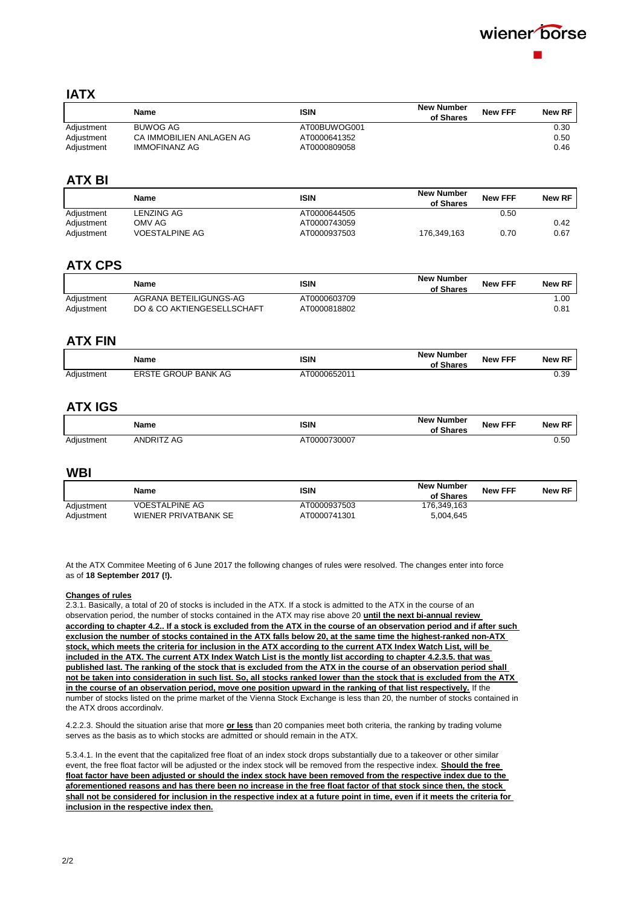

### **IATX**

|            | Name                     | ISIN         | <b>New Number</b><br>of Shares | <b>New FFF</b> | New RF |
|------------|--------------------------|--------------|--------------------------------|----------------|--------|
| Adjustment | BUWOG AG                 | AT00BUWOG001 |                                |                | 0.30   |
| Adjustment | CA IMMOBILIEN ANLAGEN AG | AT0000641352 |                                |                | 0.50   |
| Adjustment | IMMOFINANZ AG            | AT0000809058 |                                |                | 0.46   |

### **ATX BI**

|            | Name                  | <b>ISIN</b>  | <b>New Number</b><br>of Shares | <b>New FFF</b> | New RF |
|------------|-----------------------|--------------|--------------------------------|----------------|--------|
| Adjustment | LENZING AG            | AT0000644505 |                                | 0.50           |        |
| Adjustment | OMV AG                | AT0000743059 |                                |                | 0.42   |
| Adjustment | <b>VOESTALPINE AG</b> | AT0000937503 | 176.349.163                    | 0.70           | 0.67   |

### **ATX CPS**

|            | Name                       | <b>ISIN</b>  | <b>New Number</b><br>of Shares | <b>New FFF</b> | New RF |
|------------|----------------------------|--------------|--------------------------------|----------------|--------|
| Adjustment | AGRANA BETEILIGUNGS-AG     | AT0000603709 |                                |                | 00. ا  |
| Adiustment | DO & CO AKTIENGESELLSCHAFT | AT0000818802 |                                |                | 0.81   |

### **ATX FIN**

|            | Name                       | ISIN         | <b>New Number</b><br>of Shares | <b>New FFF</b> | <b>New RF</b> |
|------------|----------------------------|--------------|--------------------------------|----------------|---------------|
| Adiustment | <b>ERSTE GROUP BANK AG</b> | AT0000652011 |                                |                | 0.39          |

# **ATX IGS**

|            | <b>Name</b>               | ISIN         | <b>New Number</b><br>of Shares | <b>New FFF</b> | <b>DE</b><br><b>New</b> |
|------------|---------------------------|--------------|--------------------------------|----------------|-------------------------|
| Adiustment | ANDRIT <sup>7</sup><br>AG | AT0000730007 |                                |                | 0.50                    |

#### **WBI**

|            | Name                  | ISIN         | <b>New Number</b><br>of Shares | <b>New FFF</b> | <b>New RF</b> |
|------------|-----------------------|--------------|--------------------------------|----------------|---------------|
| Adiustment | <b>VOESTALPINE AG</b> | AT0000937503 | 176.349.163                    |                |               |
| Adiustment | WIENER PRIVATBANK SE  | AT0000741301 | 5,004,645                      |                |               |

At the ATX Commitee Meeting of 6 June 2017 the following changes of rules were resolved. The changes enter into force as of **18 September 2017 (!).**

#### **Changes of rules**

2.3.1. Basically, a total of 20 of stocks is included in the ATX. If a stock is admitted to the ATX in the course of an observation period, the number of stocks contained in the ATX may rise above 20 **until the next bi-annual review according to chapter 4.2.. If a stock is excluded from the ATX in the course of an observation period and if after such exclusion the number of stocks contained in the ATX falls below 20, at the same time the highest-ranked non-ATX stock, which meets the criteria for inclusion in the ATX according to the current ATX Index Watch List, will be included in the ATX. The current ATX Index Watch List is the montly list according to chapter 4.2.3.5. that was published last. The ranking of the stock that is excluded from the ATX in the course of an observation period shall not be taken into consideration in such list. So, all stocks ranked lower than the stock that is excluded from the ATX in the course of an observation period, move one position upward in the ranking of that list respectively.** If the number of stocks listed on the prime market of the Vienna Stock Exchange is less than 20, the number of stocks contained in the ATX drops accordingly.

4.2.2.3. Should the situation arise that more **or less** than 20 companies meet both criteria, the ranking by trading volume serves as the basis as to which stocks are admitted or should remain in the ATX.

5.3.4.1. In the event that the capitalized free float of an index stock drops substantially due to a takeover or other similar event, the free float factor will be adjusted or the index stock will be removed from the respective index. **Should the free float factor have been adjusted or should the index stock have been removed from the respective index due to the aforementioned reasons and has there been no increase in the free float factor of that stock since then, the stock shall not be considered for inclusion in the respective index at a future point in time, even if it meets the criteria for inclusion in the respective index then.**